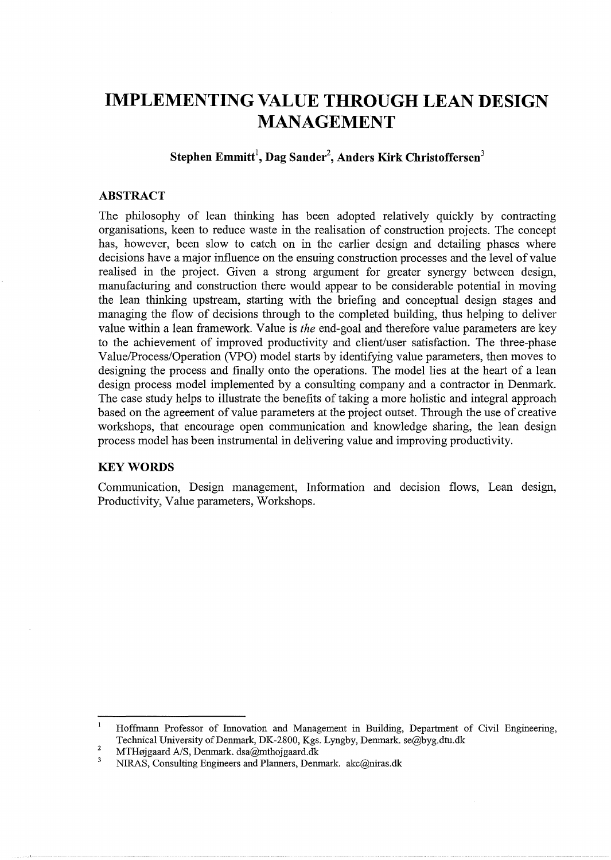# **IMPLEMENTING VALUE THROUGH LEAN DESIGN MANAGEMENT**

# **Stephen Emmitt<sup>1</sup> , Dag Sander<sup>2</sup> , Anders Kirk Christoffersen<sup>3</sup>**

# **ABSTRACT**

The philosophy of lean thinking has been adopted relatively quickly by contracting organisations, keen to reduce waste in the realisation of construction projects. The concept has, however, been slow to catch on in the earlier design and detailing phases where decisions have a major influence on the ensuing construction processes and the level of value realised in the project. Given a strong argument for greater synergy between design, manufacturing and construction there would appear to be considerable potential in moving the lean thinking upstream, starting with the briefing and conceptual design stages and managing the flow of decisions through to the completed building, thus helping to deliver value within a lean framework. Value is *the* end-goal and therefore value parameters are key to the achievement of improved productivity and client/user satisfaction. The three-phase Value/Process/Operation (VPO) model starts by identifying value parameters, then moves to designing the process and finally onto the operations. The model lies at the heart of a lean design process model implemented by a consulting company and a contractor in Denmark. The case study helps to illustrate the benefits of taking a more holistic and integral approach based on the agreement of value parameters at the project outset. Through the use of creative workshops, that encourage open communication and knowledge sharing, the lean design process model has been instrumental in delivering value and improving productivity.

# **KEYWORDS**

Communication, Design management, Information and decision flows, Lean design, Productivity, Value parameters, Workshops.

Hoffmann Professor of Innovation and Management in Building, Department of Civil Engineering, Teclmical University of Denmark, DK-2800, Kgs. Lyngby, Denmark. se@byg.dtu.dk

<sup>2</sup>  MTHøjgaard A/S, Denmark. dsa@mthojgaard.dk

 $\overline{\mathbf{3}}$ NIRAS, Consulting Engineers and Planners, Denmark. akc@niras.dk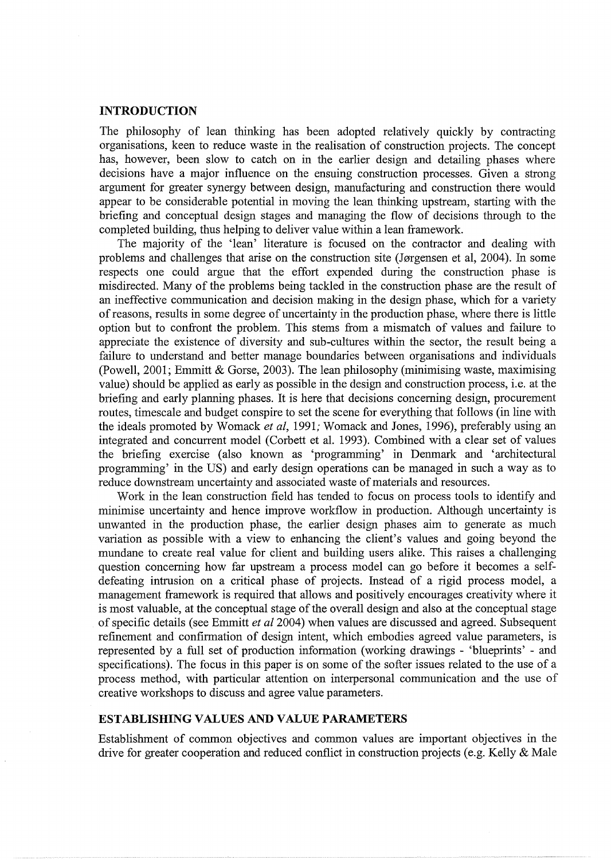#### **INTRODUCTION**

The philosophy of lean thinking has been adopted relatively quickly by contracting organisations, keen to reduce waste in the realisation of construction projects. The concept has, however, been slow to catch on in the earlier design and detailing phases where decisions have a major influence on the ensuing construction processes. Given a strong argument for greater synergy between design, manufacturing and construction there would appear to be considerable potential in moving the lean thinking upstream, starting with the briefing and conceptual design stages and managing the flow of decisions through to the completed building, thus helping to deliver value within a lean framework.

The majority of the 'lean' literature is focused on the contractor and dealing with problems and challenges that arise on the construction site (Jørgensen et al, 2004). In some respects one could argue that the effort expended during the construction phase is misdirected. Many of the problems being tackled in the construction phase are the result of an ineffective communication and decision making in the design phase, which for a variety of reasons, results in some degree of uncertainty in the production phase, where there is little option but to confront the problem. This stems from a mismatch of values and failure to appreciate the existence of diversity and sub-cultures within the sector, the result being a failure to understand and better manage boundaries between organisations and individuals (Powell, 2001; Emmitt & Gorse, 2003). The lean philosophy (minimising waste, maximising value) should be applied as early as possible in the design and construction process, i.e. at the briefing and early planning phases. It is here that decisions concerning design, procurement routes, timescale and budget conspire to set the scene for everything that follows (in line with the ideals promoted by Womack *et al*, 1991; Womack and Jones, 1996), preferably using an integrated and concurrent model (Corbett et al. 1993). Combined with a clear set of values the briefing exercise (also known as 'programming' in Denmark and 'architectural programming' in the US) and early design operations can be managed in such a way as to reduce downstream uncertainty and associated waste of materials and resources.

Work in the lean construction field has tended to focus on process tools to identify and minimise uncertainty and hence improve workflow in production. Although uncertainty is unwanted in the production phase, the earlier design phases aim to generate as much variation as possible with a view to enhancing the client's values and going beyond the mundane to create real value for client and building users alike. This raises a challenging question concerning how far upstream a process model can go before it becomes a selfdefeating intrusion on a critical phase of projects. Instead of a rigid process model, a management framework is required that allows and positively encourages creativity where it is most valuable, at the conceptual stage of the overall design and also at the conceptual stage of specific details (see Emmitt *et* a/2004) when values are discussed and agreed. Subsequent refinement and confirmation of design intent, which embodies agreed value parameters, is represented by a full set of production information (working drawings - 'blueprints' - and specifications). The focus in this paper is on some of the softer issues related to the use of a process method, with particular attention on interpersonal communication and the use of creative workshops to discuss and agree value parameters.

#### **ESTABLISHING VALUES AND VALUE PARAMETERS**

Establishment of common objectives and common values are important objectives in the drive for greater cooperation and reduced conflict in construction projects (e.g. Kelly & Male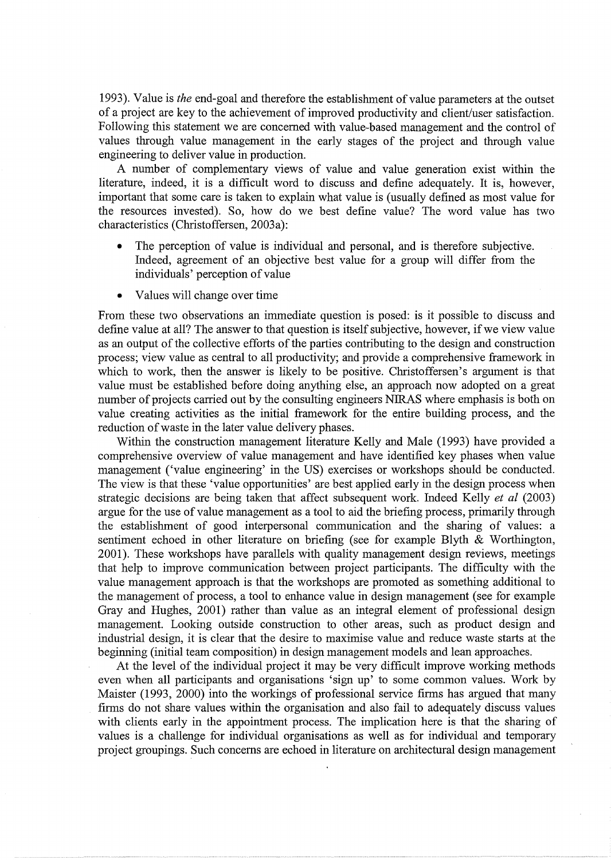1993). Value is *the* end-goal and therefore the establishment of value parameters at the outset of a project are key to the achievement of improved productivity and client/user satisfaction. Following this statement we are concerned with value-based management and the control of values through value management in the early stages of the project and through value engineering to deliver value in production.

A number of complementary views of value and value generation exist within the literature, indeed, it is a difficult word to discuss and define adequately. It is, however, important that some care is taken to explain what value is (usually defined as most value for the resources invested). So, how do we best define value? The word value has two characteristics (Christoffersen, 2003a):

- The perception of value is individual and personal, and is therefore subjective. Indeed, agreement of an objective best value for a group will differ from the individuals' perception of value
- Values will change over time

From these two observations an immediate question is posed: is it possible to discuss and define value at all? The answer to that question is itself subjective, however, if we view value as an output of the collective efforts of the parties contributing to the design and construction process; view value as central to all productivity; and provide a comprehensive framework in which to work, then the answer is likely to be positive. Christoffersen's argument is that value must be established before doing anything else, an approach now adopted on a great number of projects carried out by the consulting engineers NIRAS where emphasis is both on value creating activities as the initial framework for the entire building process, and the reduction of waste in the later value delivery phases.

Within the construction management literature Kelly and Male (1993) have provided a comprehensive overview of value management and have identified key phases when value management ('value engineering' in the US) exercises or workshops should be conducted. The view is that these 'value opportunities' are best applied early in the design process when strategic decisions are being taken that affect subsequent work. Indeed Kelly *et a!* (2003) argue for the use of value management as a tool to aid the briefing process, primarily through the establishment of good interpersonal communication and the sharing of values: a sentiment echoed in other literature on briefing (see for example Blyth & Worthington, 2001). These workshops have parallels with quality management design reviews, meetings that help to improve communication between project participants. The difficulty with the value management approach is that the workshops are promoted as something additional to the management of process, a tool to enhance value in design management (see for example Gray and Hughes, 2001) rather than value as an integral element of professional design management. Looking outside construction to other areas, such as product design and industrial design, it is clear that the desire to maximise value and reduce waste starts at the beginning (initial team composition) in design management models and lean approaches.

At the level of the individual project it may be very difficult improve working methods even when all participants and organisations 'sign up' to some common values. Work by Maister (1993, 2000) into the workings of professional service firms has argued that many firms do not share values within the organisation and also fail to adequately discuss values with clients early in the appointment process. The implication here is that the sharing of values is a challenge for individual organisations as well as for individual and temporary project groupings. Such concerns are echoed in literature on architectural design management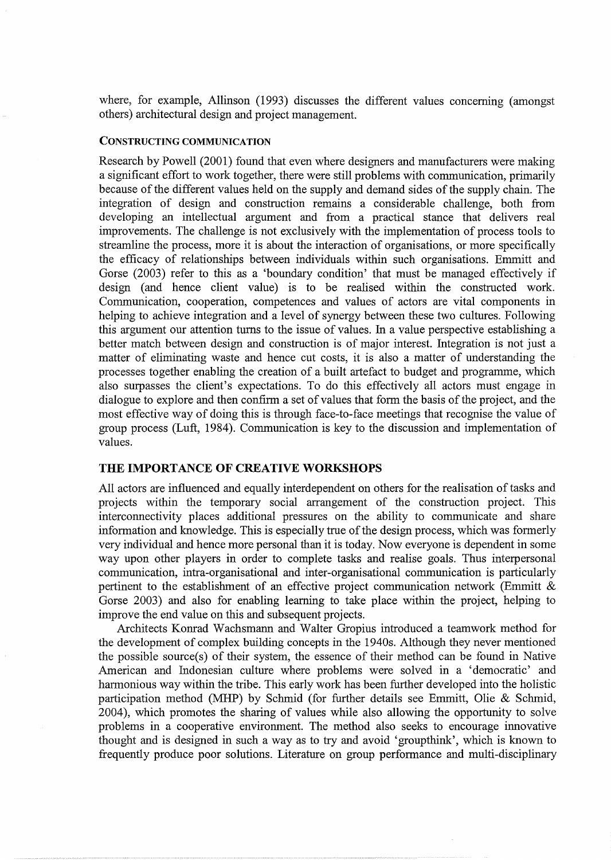where, for example, Allinson (1993) discusses the different values concerning (amongst others) architectural design and project management.

# CONSTRUCTING COMMUNICATION

Research by Powell (2001) found that even where designers and manufacturers were making a significant effort to work together, there were still problems with communication, primarily because of the different values held on the supply and demand sides of the supply chain. The integration of design and construction remains a considerable challenge, both from developing an intellectual argument and from a practical stance that delivers real improvements. The challenge is not exclusively with the implementation of process tools to streamline the process, more it is about the interaction of organisations, or more specifically the efficacy of relationships between individuals within such organisations. Emmitt and Gorse (2003) refer to this as a 'boundary condition' that must be managed effectively if design (and hence client value) is to be realised within the constructed work. Communication, cooperation, competences and values of actors are vital components in helping to achieve integration and a level of synergy between these two cultures. Following this argument our attention turns to the issue of values. In a value perspective establishing a better match between design and construction is of major interest. Integration is not just a matter of eliminating waste and hence cut costs, it is also a matter of understanding the processes together enabling the creation of a built artefact to budget and programme, which also surpasses the client's expectations. To do this effectively all actors must engage in dialogue to explore and then confirm a set of values that form the basis of the project, and the most effective way of doing this is through face-to-face meetings that recognise the value of group process (Luft, 1984). Communication is key to the discussion and implementation of values.

# **THE IMPORTANCE OF CREATIVE WORKSHOPS**

All actors are influenced and equally interdependent on others for the realisation of tasks and projects within the temporary social arrangement of the construction project. This interconnectivity places additional pressures on the ability to communicate and share information and knowledge. This is especially true of the design process, which was formerly very individual and hence more personal than it is today. Now everyone is dependent in some way upon other players in order to complete tasks and realise goals. Thus interpersonal communication, intra-organisational and inter-organisational communication is particularly pertinent to the establishment of an effective project communication network (Emmitt & Gorse 2003) and also for enabling learning to take place within the project, helping to improve the end value on this and subsequent projects.

Architects Konrad Wachsmann and Walter Gropius introduced a teamwork method for the development of complex building concepts in the 1940s. Although they never mentioned the possible source(s) of their system, the essence of their method can be found in Native American and Indonesian culture where problems were solved in a 'democratic' and harmonious way within the tribe. This early work has been further developed into the holistic participation method (MHP) by Schmid (for further details see Emmitt, Olie & Schmid, 2004), which promotes the sharing of values while also allowing the opportunity to solve problems in a cooperative environment. The method also seeks to encourage innovative thought and is designed in such a way as to try and avoid 'groupthink', which is known to frequently produce poor solutions. Literature on group performance and multi-disciplinary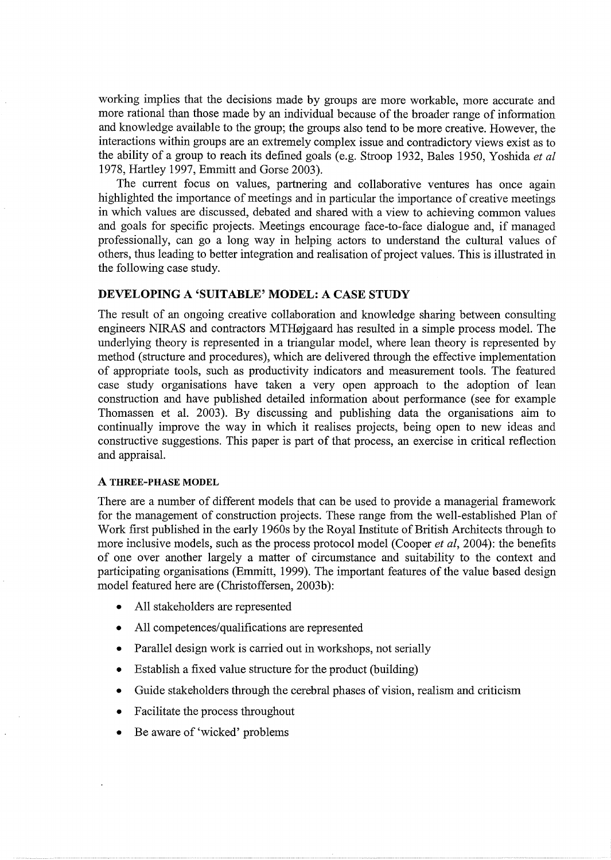working implies that the decisions made by groups are more workable, more accurate and more rational than those made by an individual because of the broader range of information and knowledge available to the group; the groups also tend to be more creative. However, the interactions within groups are an extremely complex issue and contradictory views exist as to the ability of a group to reach its defined goals (e.g. Stroop 1932, Bales 1950, Yoshida *et al*  1978, Hartley 1997, Emmitt and Gorse 2003).

The current focus on values, partnering and collaborative ventures has once again highlighted the importance of meetings and in particular the importance of creative meetings in which values are discussed, debated and shared with a view to achieving common values and goals for specific projects. Meetings encourage face-to-face dialogue and, if managed professionally, can go a long way in helping actors to understand the cultural values of others, thus leading to better integration and realisation of project values. This is illustrated in the following case study.

# **DEVELOPING A 'SUITABLE' MODEL: A CASE STUDY**

The result of an ongoing creative collaboration and knowledge sharing between consulting engineers NIRAS and contractors MTHøjgaard has resulted in a simple process model. The underlying theory is represented in a triangular model, where lean theory is represented by method (structure and procedures), which are delivered through the effective implementation of appropriate tools, such as productivity indicators and measurement tools. The featured case study organisations have taken a very open approach to the adoption of lean construction and have published detailed information about performance (see for example Thomassen et al. 2003). By discussing and publishing data the organisations aim to continually improve the way in which it realises projects, being open to new ideas and constructive suggestions. This paper is part of that process, an exercise in critical reflection and appraisal.

#### **A THREE-PHASE MODEL**

There are a number of different models that can be used to provide a managerial framework for the management of construction projects. These range from the well-established Plan of Work first published in the early 1960s by the Royal Institute of British Architects through to more inclusive models, such as the process protocol model (Cooper *et al,* 2004): the benefits of one over another largely a matter of circumstance and suitability to the context and participating organisations (Emmitt, 1999). The important features of the value based design model featured here are (Christoffersen, 2003b):

- All stakeholders are represented
- All competences/qualifications are represented
- Parallel design work is carried out in workshops, not serially
- Establish a fixed value structure for the product (building)
- Guide stakeholders through the cerebral phases of vision, realism and criticism
- Facilitate the process throughout
- Be aware of 'wicked' problems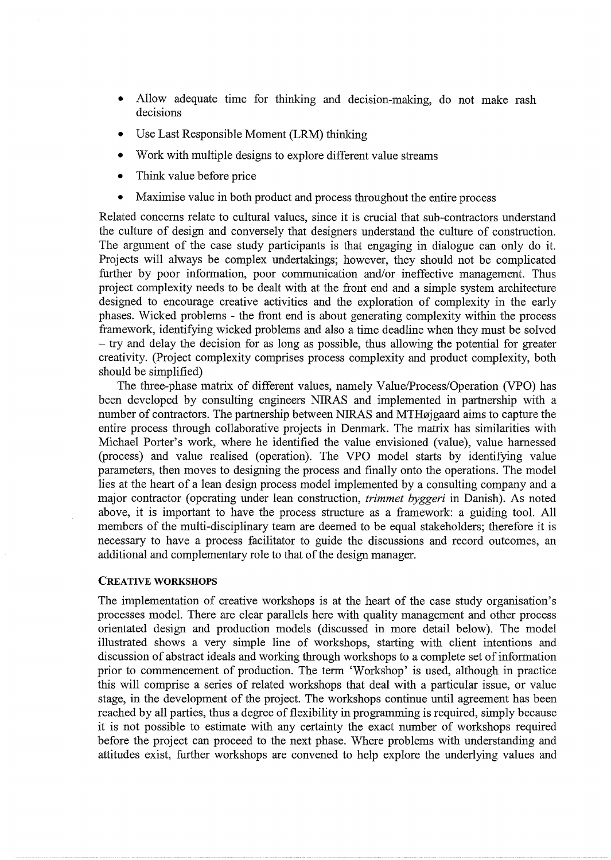- Allow adequate time for thinking and decision-making, do not make rash decisions
- Use Last Responsible Moment (LRM) thinking
- Work with multiple designs to explore different value streams
- Think value before price
- Maximise value in both product and process throughout the entire process

Related concerns relate to cultural values, since it is crucial that sub-contractors understand the culture of design and conversely that designers understand the culture of construction. The argument of the case study participants is that engaging in dialogue can only do it. Projects will always be complex undertakings; however, they should not be complicated further by poor information, poor communication and/or ineffective management. Thus project complexity needs to be dealt with at the front end and a simple system architecture designed to encourage creative activities and the exploration of complexity in the early phases. Wicked problems - the front end is about generating complexity within the process framework, identifying wicked problems and also a time deadline when they must be solved - try and delay the decision for as long as possible, thus allowing the potential for greater creativity. (Project complexity comprises process complexity and product complexity, both should be simplified)

The three-phase matrix of different values, namely Value/Process/Operation (VPO) has been developed by consulting engineers NIRAS and implemented in partnership with a number of contractors. The partnership between NIRAS and MTH $\alpha$  jegaard aims to capture the entire process through collaborative projects in Denmark. The matrix has similarities with Michael Porter's work, where he identified the value envisioned (value), value harnessed (process) and value realised (operation). The VPO model starts by identifying value parameters, then moves to designing the process and finally onto the operations. The model lies at the heart of a lean design process model implemented by a consulting company and a major contractor (operating under lean construction, *trimmet byggeri* in Danish). As noted above, it is important to have the process structure as a framework: a guiding tool. All members of the multi-disciplinary team are deemed to be equal stakeholders; therefore it is necessary to have a process facilitator to guide the discussions and record outcomes, an additional and complementary role to that of the design manager.

# CREATIVE WORKSHOPS

The implementation of creative workshops is at the heart of the case study organisation's processes model. There are clear parallels here with quality management and other process orientated design and production models (discussed in more detail below). The model illustrated shows a very simple line of workshops, starting with client intentions and discussion of abstract ideals and working through workshops to a complete set of information prior to commencement of production. The term 'Workshop' is used, although in practice this will comprise a series of related workshops that deal with a particular issue, or value stage, in the development of the project. The workshops continue until agreement has been reached by all parties, thus a degree of flexibility in programming is required, simply because it is not possible to estimate with any certainty the exact number of workshops required before the project can proceed to the next phase. Where problems with understanding and attitudes exist, further workshops are convened to help explore the underlying values and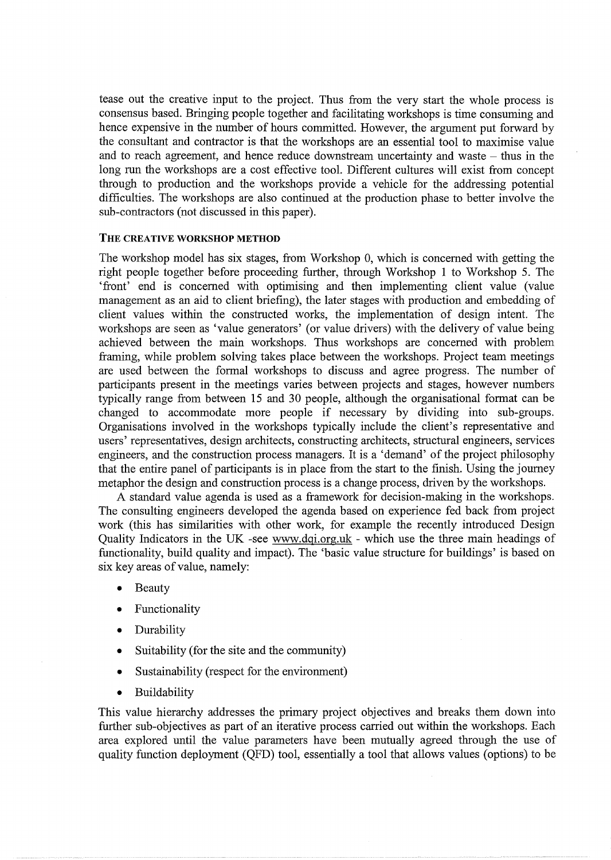tease out the creative input to the project. Thus from the very start the whole process is consensus based. Bringing people together and facilitating workshops is time consuming and hence expensive in the number of hours committed. However, the argument put forward by the consultant and contractor is that the workshops are an essential tool to maximise value and to reach agreement, and hence reduce downstream uncertainty and waste  $-$  thus in the long run the workshops are a cost effective tool. Different cultures will exist from concept through to production and the workshops provide a vehicle for the addressing potential difficulties. The workshops are also continued at the production phase to better involve the sub-contractors (not discussed in this paper).

# **THE** CREATIVE **WORKSHOP METHOD**

The workshop model has six stages, from Workshop 0, which is concerned with getting the right people together before proceeding further, through Workshop 1 to Workshop 5. The 'front' end is concerned with optimising and then implementing client value (value management as an aid to client briefing), the later stages with production and embedding of client values within the constructed works, the implementation of design intent. The workshops are seen as 'value generators' (or value drivers) with the delivery of value being achieved between the main workshops. Thus workshops are concerned with problem framing, while problem solving takes place between the workshops. Project team meetings are used between the formal workshops to discuss and agree progress. The number of participants present in the meetings varies between projects and stages, however numbers typically range from between 15 and 30 people, although the organisational format can be changed to accommodate more people if necessary by dividing into sub-groups. Organisations involved in the workshops typically include the client's representative and users' representatives, design architects, constructing architects, structural engineers, services engineers, and the construction process managers. It is a 'demand' of the project philosophy that the entire panel of participants is in place from the start to the finish. Using the journey metaphor the design and construction process is a change process, driven by the workshops.

A standard value agenda is used as a framework for decision-making in the workshops. The consulting engineers developed the agenda based on experience fed back from project work (this has similarities with other work, for example the recently introduced Design Quality Indicators in the UK -see www.dqi.org.uk - which use the three main headings of functionality, build quality and impact). The 'basic value structure for buildings' is based on six key areas of value, namely:

- Beauty
- **Functionality**
- Durability
- Suitability (for the site and the community)
- Sustainability (respect for the environment)
- Buildability

This value hierarchy addresses the primary project objectives and breaks them down into further sub-objectives as part of an iterative process carried out within the workshops. Each area explored until the value parameters have been mutually agreed through the use of quality function deployment (QFD) tool, essentially a tool that allows values (options) to be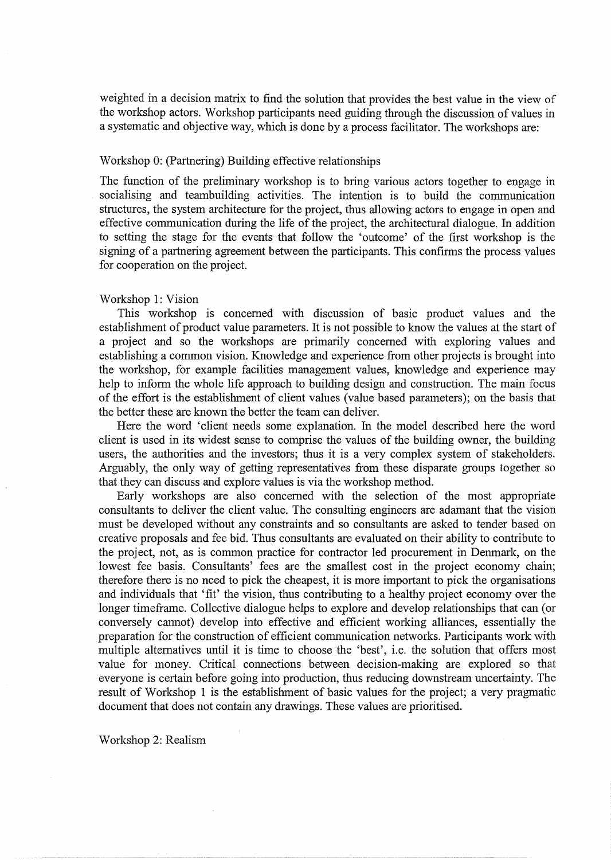weighted in a decision matrix to find the solution that provides the best value in the view of the workshop actors. Workshop participants need guiding through the discussion of values in a systematic and objective way, which is done by a process facilitator. The workshops are:

# Workshop 0: (Partnering) Building effective relationships

The function of the preliminary workshop is to bring various actors together to engage in socialising and teambuilding activities. The intention is to build the communication structures, the system architecture for the project, thus allowing actors to engage in open and effective communication during the life of the project, the architectural dialogue. In addition to setting the stage for the events that follow the 'outcome' of the first workshop is the signing of a partnering agreement between the participants. This confirms the process values for cooperation on the project.

# Workshop 1: Vision

This workshop is concerned with discussion of basic product values and the establishment of product value parameters. It is not possible to know the values at the start of a project and so the workshops are primarily concerned with exploring values and establishing a common vision. Knowledge and experience from other projects is brought into the workshop, for example facilities management values, knowledge and experience may help to inform the whole life approach to building design and construction. The main focus of the effort is the establishment of client values (value based parameters); on the basis that the better these are known the better the team can deliver.

Here the word 'client needs some explanation. In the model described here the word client is used in its widest sense to comprise the values of the building owner, the building users, the authorities and the investors; thus it is a very complex system of stakeholders. Arguably, the only way of getting representatives from these disparate groups together so that they can discuss and explore values is via the workshop method.

Early workshops are also concerned with the selection of the most appropriate consultants to deliver the client value. The consulting engineers are adamant that the vision must be developed without any constraints and so consultants are asked to tender based on creative proposals and fee bid. Thus consultants are evaluated on their ability to contribute to the project, not, as is common practice for contractor led procurement in Denmark, on the lowest fee basis. Consultants' fees are the smallest cost in the project economy chain; therefore there is no need to pick the cheapest, it is more important to pick the organisations and individuals that 'fit' the vision, thus contributing to a healthy project economy over the longer timeframe. Collective dialogue helps to explore and develop relationships that can (or conversely cannot) develop into effective and efficient working alliances, essentially the preparation for the construction of efficient communication networks. Participants work with multiple alternatives until it is time to choose the 'best', i.e. the solution that offers most value for money. Critical connections between decision-making are explored so that everyone is certain before going into production, thus reducing downstream uncertainty. The result of Workshop 1 is the establishment of basic values for the project; a very pragmatic document that does not contain any drawings. These values are prioritised.

Workshop 2: Realism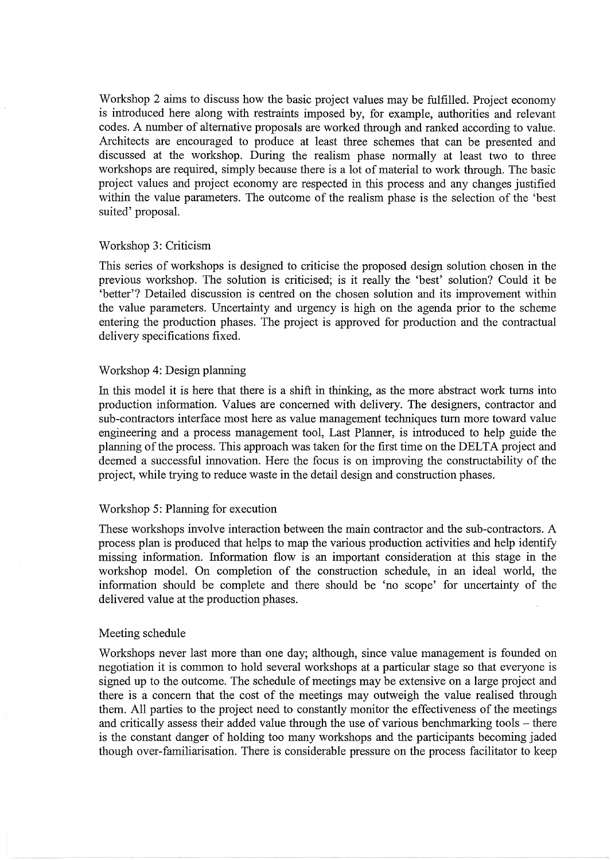Workshop 2 aims to discuss how the basic project values may be fulfilled. Project economy is introduced here along with restraints imposed by, for example, authorities and relevant codes. A number of alternative proposals are worked through and ranked according to value. Architects are encouraged to produce at least three schemes that can be presented and discussed at the workshop. During the realism phase normally at least two to three workshops are required, simply because there is a lot of material to work through. The basic project values and project economy are respected in this process and any changes justified within the value parameters. The outcome of the realism phase is the selection of the 'best suited' proposal.

# Workshop 3: Criticism

This series of workshops is designed to criticise the proposed design solution chosen in the previous workshop. The solution is criticised; is it really the 'best' solution? Could it be 'better'? Detailed discussion is centred on the chosen solution and its improvement within the value parameters. Uncertainty and urgency is high on the agenda prior to the scheme entering the production phases. The project is approved for production and the contractual delivery specifications fixed.

# Workshop 4: Design planning

In this model it is here that there is a shift in thinking, as the more abstract work turns into production information. Values are concerned with delivery. The designers, contractor and sub-contractors interface most here as value management techniques tum more toward value engineering and a process management tool, Last Planner, is introduced to help guide the planning of the process. This approach was taken for the first time on the DELTA project and deemed a successful innovation. Here the focus is on improving the constructability of the project, while trying to reduce waste in the detail design and construction phases.

#### Workshop 5: Planning for execution

These workshops involve interaction between the main contractor and the sub-contractors. A process plan is produced that helps to map the various production activities and help identify missing information. Information flow is an important consideration at this stage in the workshop model. On completion of the construction schedule, in an ideal world, the information should be complete and there should be 'no scope' for uncertainty of the delivered value at the production phases.

# Meeting schedule

Workshops never last more than one day; although, since value management is founded on negotiation it is common to hold several workshops at a particular stage so that everyone is signed up to the outcome. The schedule of meetings may be extensive on a large project and there is a concern that the cost of the meetings may outweigh the value realised through them. All parties to the project need to constantly monitor the effectiveness of the meetings and critically assess their added value through the use of various benchmarking tools – there is the constant danger of holding too many workshops and the participants becoming jaded though over-familiarisation. There is considerable pressure on the process facilitator to keep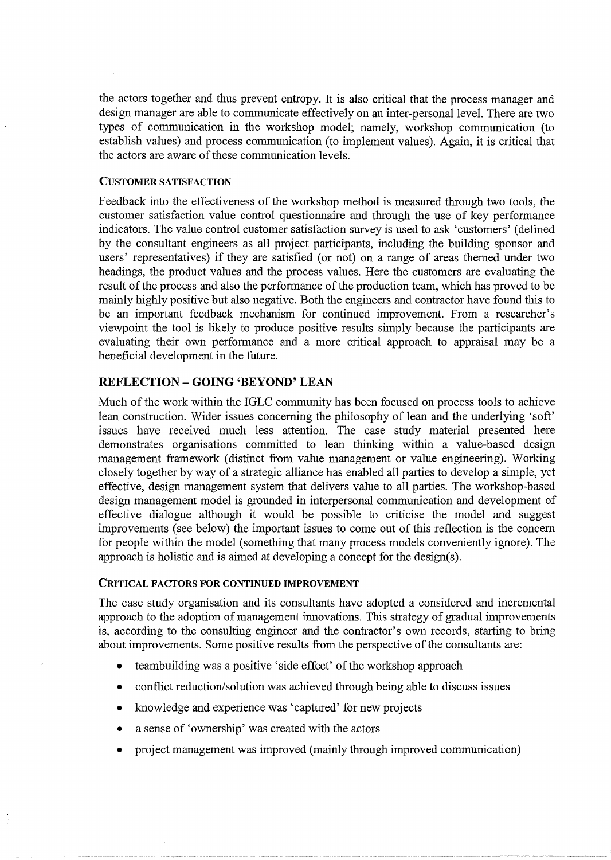the actors together and thus prevent entropy. It is also critical that the process manager and design manager are able to communicate effectively on an inter-personal level. There are two types of communication in the workshop model; namely, workshop communication (to establish values) and process communication (to implement values). Again, it is critical that the actors are aware of these communication levels.

#### CUSTOMER SATISFACTION

Feedback into the effectiveness of the workshop method is measured through two tools, the customer satisfaction value control questionnaire and through the use of key performance indicators. The value control customer satisfaction survey is used to ask 'customers' (defined by the consultant engineers as all project participants, including the building sponsor and users' representatives) if they are satisfied (or not) on a range of areas themed under two headings, the product values and the process values. Here the customers are evaluating the result of the process and also the performance of the production team, which has proved to be mainly highly positive but also negative. Both the engineers and contractor have found this to be an important feedback mechanism for continued improvement. From a researcher's viewpoint the tool is likely to produce positive results simply because the participants are evaluating their own performance and a more critical approach to appraisal may be a beneficial development in the future.

# REFLECTION- GOING 'BEYOND' LEAN

Much of the work within the IGLC community has been focused on process tools to achieve lean construction. Wider issues concerning the philosophy of lean and the underlying 'soft' issues have received much less attention. The case study material presented here demonstrates organisations committed to lean thinking within a value-based design management framework (distinct from value management or value engineering). Working closely together by way of a strategic alliance has enabled all parties to develop a simple, yet effective, design management system that delivers value to all parties. The workshop-based design management model is grounded in interpersonal communication and development of effective dialogue although it would be possible to criticise the model and suggest improvements (see below) the important issues to come out of this reflection is the concern for people within the model (something that many process models conveniently ignore). The approach is holistic and is aimed at developing a concept for the design(s).

# CRITICAL FACTORS FOR CONTINUED IMPROVEMENT

The case study organisation and its consultants have adopted a considered and incremental approach to the adoption of management innovations. This strategy of gradual improvements is, according to the consulting engineer and the contractor's own records, starting to bring about improvements. Some positive results from the perspective of the consultants are:

- teambuilding was a positive 'side effect' of the workshop approach
- conflict reduction/solution was achieved through being able to discuss issues
- knowledge and experience was 'captured' for new projects
- a sense of 'ownership' was created with the actors
- project management was improved (mainly through improved communication)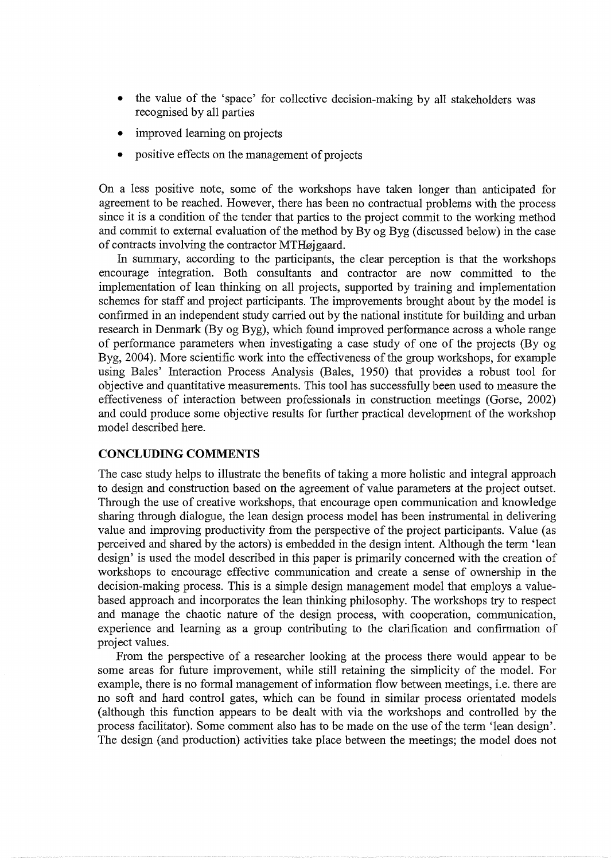- the value of the 'space' for collective decision-making by all stakeholders was recognised by all parties
- improved learning on projects
- positive effects on the management of projects

On a less positive note, some of the workshops have taken longer than anticipated for agreement to be reached. However, there has been no contractual problems with the process since it is a condition of the tender that parties to the project commit to the working method and commit to external evaluation of the method by By og Byg (discussed below) in the case of contracts involving the contractor MTHøjgaard.

In summary, according to the participants, the clear perception is that the workshops encourage integration. Both consultants and contractor are now committed to the implementation of lean thinking on all projects, supported by training and implementation schemes for staff and project participants. The improvements brought about by the model is confirmed in an independent study carried out by the national institute for building and urban research in Denmark (By og Byg), which found improved performance across a whole range of performance parameters when investigating a case study of one of the projects (By og Byg, 2004). More scientific work into the effectiveness of the group workshops, for example using Bales' Interaction Process Analysis (Bales, 1950) that provides a robust tool for objective and quantitative measurements. This tool has successfully been used to measure the effectiveness of interaction between professionals in construction meetings (Gorse, 2002) and could produce some objective results for further practical development of the workshop model described here.

# **CONCLUDING COMMENTS**

The case study helps to illustrate the benefits of taking a more holistic and integral approach to design and construction based on the agreement of value parameters at the project outset. Through the use of creative workshops, that encourage open communication and knowledge sharing through dialogue, the lean design process model has been instrumental in delivering value and improving productivity from the perspective of the project participants. Value (as perceived and shared by the actors) is embedded in the design intent. Although the term 'lean design' is used the model described in this paper is primarily concerned with the creation of workshops to encourage effective communication and create a sense of ownership in the decision-making process. This is a simple design management model that employs a valuebased approach and incorporates the lean thinking philosophy. The workshops try to respect and manage the chaotic nature of the design process, with cooperation, communication, experience and learning as a group contributing to the clarification and confirmation of project values.

From the perspective of a researcher looking at the process there would appear to be some areas for future improvement, while still retaining the simplicity of the model. For example, there is no formal management of information flow between meetings, i.e. there are no soft and hard control gates, which can be found in similar process orientated models (although this function appears to be dealt with via the workshops and controlled by the process facilitator). Some comment also has to be made on the use of the term 'lean design'. The design (and production) activities take place between the meetings; the model does not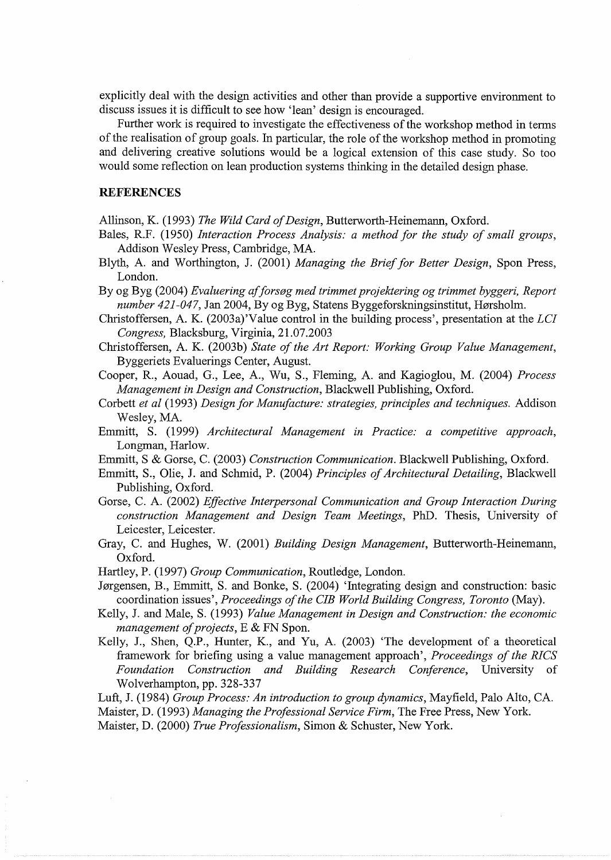explicitly deal with the design activities and other than provide a supportive environment to discuss issues it is difficult to see how 'lean' design is encouraged.

Further work is required to investigate the effectiveness of the workshop method in terms of the realisation of group goals. In particular, the role of the workshop method in promoting and delivering creative solutions would be a logical extension of this case study. So too would some reflection on lean production systems thinking in the detailed design phase.

#### **REFERENCES**

Allinson, K. (1993) *The Wild Card of Design,* Butterworth-Heinemann, Oxford.

Bales, R.F. (1950) *Interaction Process Analysis: a method for the study of small groups,*  Addison Wesley Press, Cambridge, MA.

Blyth, A. and Worthington, J. (2001) *Managing the Brief for Better Design,* Spon Press, London.

By og Byg (2004) *Evaluering afforseg med trimmet projektering og trimmet byggeri, Report number 421-047*, Jan 2004, By og Byg, Statens Byggeforskningsinstitut, Hørsholm.

Christoffersen, A. K. (2003a)'Value control in the building process', presentation at the *LCI Congress,* Blacksburg, Virginia, 21.07.2003

Christoffersen, A. K. (2003b) *State of the Art Report: Working Group Value Management,*  Byggeriets Evaluerings Center, August.

Cooper, R., Aouad, G., Lee, A., Wu, S., Fleming, A. and Kagioglou, M. (2004) *Process Management in Design and Construction,* Blackwell Publishing, Oxford.

Corbett *et al* (1993) *Design for Manufacture: strategies, principles and techniques.* Addison Wesley, MA.

Emmitt, S. (1999) *Architectural Management in Practice: a competitive approach,*  Longman, Harlow.

Emmitt, S & Gorse, C. (2003) *Construction Communication.* Blackwell Publishing, Oxford.

Emmitt, S., Olie, J. and Schmid, P. (2004) *Principles of Architectural Detailing,* Blackwell Publishing, Oxford.

Gorse, C. A. (2002) *Effective Interpersonal Communication and Group Interaction During construction Management and Design Team Meetings,* PhD. Thesis, University of Leicester, Leicester.

Gray, C. and Hughes, W. (2001) *Building Design Management,* Butterworth-Heinemann, Oxford.

Hartley, P. (1997) *Group Communication,* Routledge, London.

Jørgensen, B., Emmitt, S. and Bonke, S. (2004) 'Integrating design and construction: basic coordination issues', *Proceedings of the CIB World Building Congress, Toronto* (May).

Kelly, J. and Male, S. (1993) *Value Management in Design and Construction: the economic management of projects,* E & FN Spon.

Kelly, J., Shen, Q.P., Hunter, K., and Yu, A. (2003) 'The development of a theoretical framework for briefing using a value management approach', *Proceedings of the RICS Foundation Construction and Building Research Conference,* University of Wolverhampton, pp. 328-337

Luft, J. (1984) *Group Process: An introduction to group dynamics,* Mayfield, Palo Alto, CA. Maister, D. (1993) *Managing the Professional Service Firm,* The Free Press, New York.

Maister, D. (2000) *True Professionalism,* Simon & Schuster, New York.